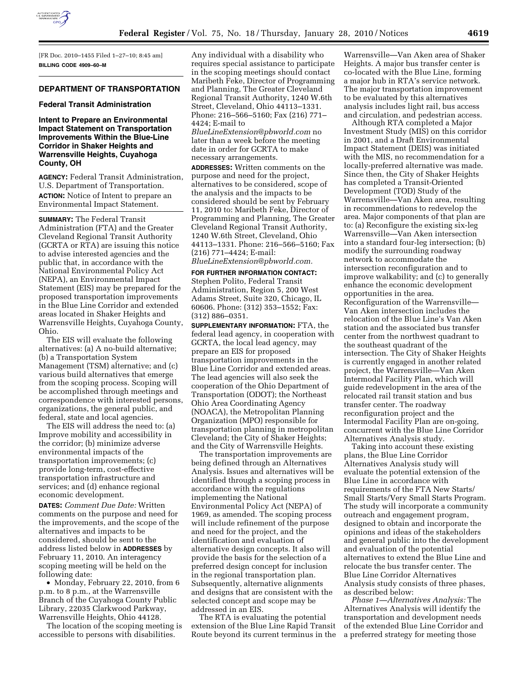

[FR Doc. 2010–1455 Filed 1–27–10; 8:45 am] **BILLING CODE 4909–60–M** 

# **DEPARTMENT OF TRANSPORTATION**

#### **Federal Transit Administration**

**Intent to Prepare an Environmental Impact Statement on Transportation Improvements Within the Blue-Line Corridor in Shaker Heights and Warrensville Heights, Cuyahoga County, OH** 

**AGENCY:** Federal Transit Administration, U.S. Department of Transportation. **ACTION:** Notice of Intent to prepare an Environmental Impact Statement.

**SUMMARY:** The Federal Transit Administration (FTA) and the Greater Cleveland Regional Transit Authority (GCRTA or RTA) are issuing this notice to advise interested agencies and the public that, in accordance with the National Environmental Policy Act (NEPA), an Environmental Impact Statement (EIS) may be prepared for the proposed transportation improvements in the Blue Line Corridor and extended areas located in Shaker Heights and Warrensville Heights, Cuyahoga County, Ohio.

The EIS will evaluate the following alternatives: (a) A no-build alternative; (b) a Transportation System Management (TSM) alternative; and (c) various build alternatives that emerge from the scoping process. Scoping will be accomplished through meetings and correspondence with interested persons, organizations, the general public, and federal, state and local agencies.

The EIS will address the need to: (a) Improve mobility and accessibility in the corridor; (b) minimize adverse environmental impacts of the transportation improvements; (c) provide long-term, cost-effective transportation infrastructure and services; and (d) enhance regional economic development.

**DATES:** *Comment Due Date:* Written comments on the purpose and need for the improvements, and the scope of the alternatives and impacts to be considered, should be sent to the address listed below in **ADDRESSES** by February 11, 2010. An interagency scoping meeting will be held on the following date:

• Monday, February 22, 2010, from 6 p.m. to 8 p.m., at the Warrensville Branch of the Cuyahoga County Public Library, 22035 Clarkwood Parkway, Warrensville Heights, Ohio 44128.

The location of the scoping meeting is accessible to persons with disabilities.

Any individual with a disability who requires special assistance to participate in the scoping meetings should contact Maribeth Feke, Director of Programming and Planning, The Greater Cleveland Regional Transit Authority, 1240 W.6th Street, Cleveland, Ohio 44113–1331. Phone: 216–566–5160; Fax (216) 771– 4424; E-mail to

*BlueLineExtension@pbworld.com* no later than a week before the meeting date in order for GCRTA to make necessary arrangements.

**ADDRESSES:** Written comments on the purpose and need for the project, alternatives to be considered, scope of the analysis and the impacts to be considered should be sent by February 11, 2010 to: Maribeth Feke, Director of Programming and Planning, The Greater Cleveland Regional Transit Authority, 1240 W.6th Street, Cleveland, Ohio 44113–1331. Phone: 216–566–5160; Fax (216) 771–4424; E-mail:

*BlueLineExtension@pbworld.com.* 

## **FOR FURTHER INFORMATION CONTACT:**

Stephen Polito, Federal Transit Administration, Region 5, 200 West Adams Street, Suite 320, Chicago, IL 60606. Phone: (312) 353–1552; Fax: (312) 886–0351.

**SUPPLEMENTARY INFORMATION:** FTA, the federal lead agency, in cooperation with GCRTA, the local lead agency, may prepare an EIS for proposed transportation improvements in the Blue Line Corridor and extended areas. The lead agencies will also seek the cooperation of the Ohio Department of Transportation (ODOT); the Northeast Ohio Area Coordinating Agency (NOACA), the Metropolitan Planning Organization (MPO) responsible for transportation planning in metropolitan Cleveland; the City of Shaker Heights; and the City of Warrensville Heights.

The transportation improvements are being defined through an Alternatives Analysis. Issues and alternatives will be identified through a scoping process in accordance with the regulations implementing the National Environmental Policy Act (NEPA) of 1969, as amended. The scoping process will include refinement of the purpose and need for the project, and the identification and evaluation of alternative design concepts. It also will provide the basis for the selection of a preferred design concept for inclusion in the regional transportation plan. Subsequently, alternative alignments and designs that are consistent with the selected concept and scope may be addressed in an EIS.

The RTA is evaluating the potential extension of the Blue Line Rapid Transit Route beyond its current terminus in the

Warrensville—Van Aken area of Shaker Heights. A major bus transfer center is co-located with the Blue Line, forming a major hub in RTA's service network. The major transportation improvement to be evaluated by this alternatives analysis includes light rail, bus access and circulation, and pedestrian access.

Although RTA completed a Major Investment Study (MIS) on this corridor in 2001, and a Draft Environmental Impact Statement (DEIS) was initiated with the MIS, no recommendation for a locally-preferred alternative was made. Since then, the City of Shaker Heights has completed a Transit-Oriented Development (TOD) Study of the Warrensville—Van Aken area, resulting in recommendations to redevelop the area. Major components of that plan are to: (a) Reconfigure the existing six-leg Warrensville—Van Aken intersection into a standard four-leg intersection; (b) modify the surrounding roadway network to accommodate the intersection reconfiguration and to improve walkability; and (c) to generally enhance the economic development opportunities in the area. Reconfiguration of the Warrensville— Van Aken intersection includes the relocation of the Blue Line's Van Aken station and the associated bus transfer center from the northwest quadrant to the southeast quadrant of the intersection. The City of Shaker Heights is currently engaged in another related project, the Warrensville—Van Aken Intermodal Facility Plan, which will guide redevelopment in the area of the relocated rail transit station and bus transfer center. The roadway reconfiguration project and the Intermodal Facility Plan are on-going, concurrent with the Blue Line Corridor Alternatives Analysis study.

Taking into account these existing plans, the Blue Line Corridor Alternatives Analysis study will evaluate the potential extension of the Blue Line in accordance with requirements of the FTA New Starts/ Small Starts/Very Small Starts Program. The study will incorporate a community outreach and engagement program, designed to obtain and incorporate the opinions and ideas of the stakeholders and general public into the development and evaluation of the potential alternatives to extend the Blue Line and relocate the bus transfer center. The Blue Line Corridor Alternatives Analysis study consists of three phases, as described below:

*Phase 1—Alternatives Analysis:* The Alternatives Analysis will identify the transportation and development needs of the extended Blue Line Corridor and a preferred strategy for meeting those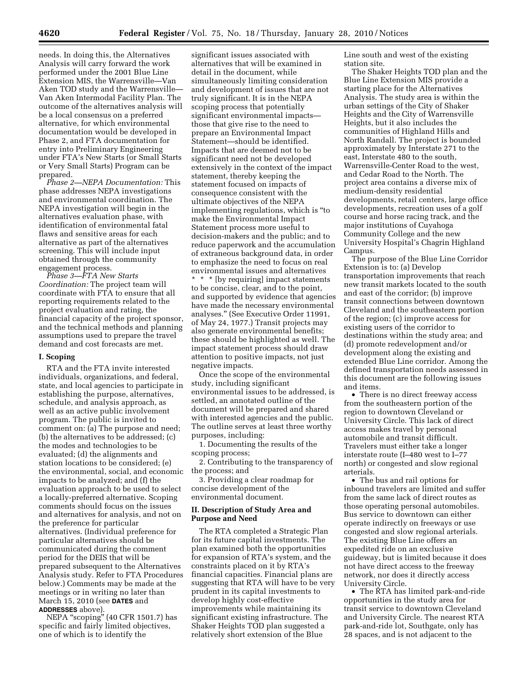needs. In doing this, the Alternatives Analysis will carry forward the work performed under the 2001 Blue Line Extension MIS, the Warrensville—Van Aken TOD study and the Warrensville— Van Aken Intermodal Facility Plan. The outcome of the alternatives analysis will be a local consensus on a preferred alternative, for which environmental documentation would be developed in Phase 2, and FTA documentation for entry into Preliminary Engineering under FTA's New Starts (or Small Starts or Very Small Starts) Program can be prepared.

*Phase 2—NEPA Documentation:* This phase addresses NEPA investigations and environmental coordination. The NEPA investigation will begin in the alternatives evaluation phase, with identification of environmental fatal flaws and sensitive areas for each alternative as part of the alternatives screening. This will include input obtained through the community engagement process.

*Phase 3—FTA New Starts Coordination:* The project team will coordinate with FTA to ensure that all reporting requirements related to the project evaluation and rating, the financial capacity of the project sponsor, and the technical methods and planning assumptions used to prepare the travel demand and cost forecasts are met.

#### **I. Scoping**

RTA and the FTA invite interested individuals, organizations, and federal, state, and local agencies to participate in establishing the purpose, alternatives, schedule, and analysis approach, as well as an active public involvement program. The public is invited to comment on: (a) The purpose and need; (b) the alternatives to be addressed; (c) the modes and technologies to be evaluated; (d) the alignments and station locations to be considered; (e) the environmental, social, and economic impacts to be analyzed; and (f) the evaluation approach to be used to select a locally-preferred alternative. Scoping comments should focus on the issues and alternatives for analysis, and not on the preference for particular alternatives. (Individual preference for particular alternatives should be communicated during the comment period for the DEIS that will be prepared subsequent to the Alternatives Analysis study. Refer to FTA Procedures below.) Comments may be made at the meetings or in writing no later than March 15, 2010 (see **DATES** and **ADDRESSES** above).

NEPA "scoping" (40 CFR 1501.7) has specific and fairly limited objectives, one of which is to identify the

significant issues associated with alternatives that will be examined in detail in the document, while simultaneously limiting consideration and development of issues that are not truly significant. It is in the NEPA scoping process that potentially significant environmental impacts those that give rise to the need to prepare an Environmental Impact Statement—should be identified. Impacts that are deemed not to be significant need not be developed extensively in the context of the impact statement, thereby keeping the statement focused on impacts of consequence consistent with the ultimate objectives of the NEPA implementing regulations, which is ''to make the Environmental Impact Statement process more useful to decision-makers and the public; and to reduce paperwork and the accumulation of extraneous background data, in order to emphasize the need to focus on real environmental issues and alternatives \* \* \* [by requiring] impact statements

to be concise, clear, and to the point, and supported by evidence that agencies have made the necessary environmental analyses.'' (See Executive Order 11991, of May 24, 1977.) Transit projects may also generate environmental benefits; these should be highlighted as well. The impact statement process should draw attention to positive impacts, not just negative impacts.

Once the scope of the environmental study, including significant environmental issues to be addressed, is settled, an annotated outline of the document will be prepared and shared with interested agencies and the public. The outline serves at least three worthy purposes, including:

1. Documenting the results of the scoping process;

2. Contributing to the transparency of the process; and

3. Providing a clear roadmap for concise development of the environmental document.

## **II. Description of Study Area and Purpose and Need**

The RTA completed a Strategic Plan for its future capital investments. The plan examined both the opportunities for expansion of RTA's system, and the constraints placed on it by RTA's financial capacities. Financial plans are suggesting that RTA will have to be very prudent in its capital investments to develop highly cost-effective improvements while maintaining its significant existing infrastructure. The Shaker Heights TOD plan suggested a relatively short extension of the Blue

Line south and west of the existing station site.

The Shaker Heights TOD plan and the Blue Line Extension MIS provide a starting place for the Alternatives Analysis. The study area is within the urban settings of the City of Shaker Heights and the City of Warrensville Heights, but it also includes the communities of Highland Hills and North Randall. The project is bounded approximately by Interstate 271 to the east, Interstate 480 to the south, Warrensville-Center Road to the west, and Cedar Road to the North. The project area contains a diverse mix of medium-density residential developments, retail centers, large office developments, recreation uses of a golf course and horse racing track, and the major institutions of Cuyahoga Community College and the new University Hospital's Chagrin Highland Campus.

The purpose of the Blue Line Corridor Extension is to: (a) Develop transportation improvements that reach new transit markets located to the south and east of the corridor; (b) improve transit connections between downtown Cleveland and the southeastern portion of the region; (c) improve access for existing users of the corridor to destinations within the study area; and (d) promote redevelopment and/or development along the existing and extended Blue Line corridor. Among the defined transportation needs assessed in this document are the following issues and items.

• There is no direct freeway access from the southeastern portion of the region to downtown Cleveland or University Circle. This lack of direct access makes travel by personal automobile and transit difficult. Travelers must either take a longer interstate route (I–480 west to I–77 north) or congested and slow regional arterials.

• The bus and rail options for inbound travelers are limited and suffer from the same lack of direct routes as those operating personal automobiles. Bus service to downtown can either operate indirectly on freeways or use congested and slow regional arterials. The existing Blue Line offers an expedited ride on an exclusive guideway, but is limited because it does not have direct access to the freeway network, nor does it directly access University Circle.

• The ŘTA has limited park-and-ride opportunities in the study area for transit service to downtown Cleveland and University Circle. The nearest RTA park-and-ride lot, Southgate, only has 28 spaces, and is not adjacent to the